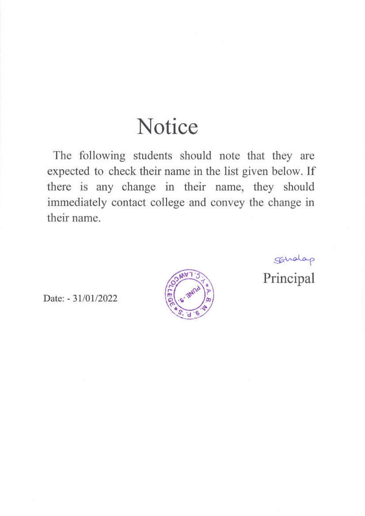## Notice

The following students should note that they are expected to check their name in the list given below. If there is any change in their name, they should immediately contact college and convey the change in their name.

Scholap

Principal

Date: - 31/01/2022

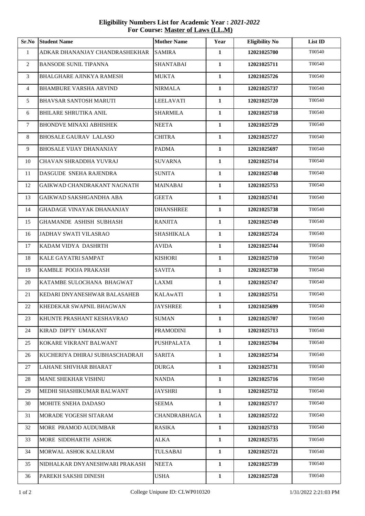**Sr.No Student Name Mother Name Year Eligibility No List ID** ADKAR DHANANJAY CHANDRASHEKHAR SAMIRA **1 12021025700** T00540 BANSODE SUNIL TIPANNA SHANTABAI **1 12021025711** T00540 BHALGHARE AJINKYA RAMESH MUKTA **1 12021025726** T00540 BHAMBURE VARSHA ARVIND NIRMALA **1 12021025737** T00540 BHAVSAR SANTOSH MARUTI LEELAVATI **1 12021025720** T00540 BHILARE SHRUTIKA ANIL SHARMILA **1 12021025718** T00540 BHONDVE MINAXI ABHISHEK NEETA **1 12021025729** T00540 8 BHOSALE GAURAV LALASO CHITRA 1 1 12021025727 T00540 BHOSALE VIJAY DHANANJAY PADMA **1 12021025697** T00540 CHAVAN SHRADDHA YUVRAJ SUVARNA **1 12021025714** T00540 DASGUDE SNEHA RAJENDRA SUNITA **1 12021025748** T00540 GAIKWAD CHANDRAKANT NAGNATH MAINABAI **1 12021025753** T00540 GAIKWAD SAKSHGANDHA ABA GEETA **1 12021025741** T00540 GHADAGE VINAYAK DHANANJAY DHANSHREE **1 12021025738** T00540 GHAMANDE ASHISH SUBHASH RANJITA **1 12021025749** T00540 JADHAV SWATI VILASRAO SHASHIKALA **1 12021025724** T00540 KADAM VIDYA DASHRTH AVIDA **1 12021025744** T00540 KALE GAYATRI SAMPAT KISHORI **1 12021025710** T00540 KAMBLE POOJA PRAKASH SAVITA **1 12021025730** T00540 KATAMBE SULOCHANA BHAGWAT LAXMI **1 12021025747** T00540 KEDARI DNYANESHWAR BALASAHEB KALAwATI **1 12021025751** T00540 KHEDEKAR SWAPNIL BHAGWAN JAYSHREE **1 12021025699** T00540 KHUNTE PRASHANT KESHAVRAO SUMAN **1 12021025707** T00540 KIRAD DIPTY UMAKANT PRAMODINI **1 12021025713** T00540 KOKARE VIKRANT BALWANT PUSHPALATA **1 12021025704** T00540 KUCHERIYA DHIRAJ SUBHASCHADRAJI SARITA **1 12021025734** T00540 LAHANE SHIVHAR BHARAT DURGA **1 12021025731** T00540 MANE SHEKHAR VISHNU NANDA **1 12021025716** T00540 MEDHI SHASHIKUMAR BALWANT JAYSHRI **1 12021025732** T00540 MOHITE SNEHA DADASO SEEMA **1 12021025717** T00540 MORADE YOGESH SITARAM CHANDRABHAGA **1 12021025722** T00540 MORE PRAMOD AUDUMBAR RASIKA **1 12021025733** T00540 MORE SIDDHARTH ASHOK ALKA **1 12021025735** T00540 MORWAL ASHOK KALURAM TULSABAI **1 12021025721** T00540 NIDHALKAR DNYANESHWARI PRAKASH NEETA **1 12021025739** T00540 PAREKH SAKSHI DINESH USHA **1 12021025728** T00540

## **Eligibility Numbers List for Academic Year :** *2021-2022*  **For Course: Master of Laws (LL.M)**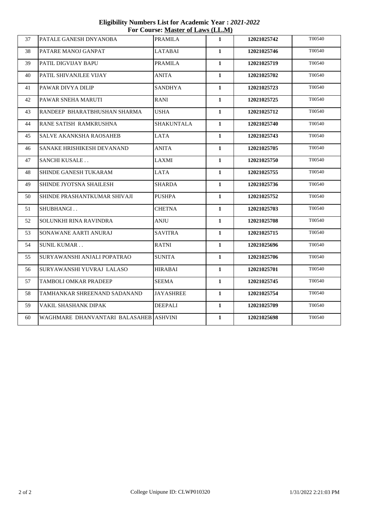**Eligibility Numbers List for Academic Year :** *2021-2022*  **For Course: Master of Laws (LL.M)**

| 37 | PATALE GANESH DNYANOBA                 | <b>PRAMILA</b>   | $\mathbf{1}$ | 12021025742 | T00540 |
|----|----------------------------------------|------------------|--------------|-------------|--------|
| 38 | PATARE MANOJ GANPAT                    | LATABAI          | $\mathbf{1}$ | 12021025746 | T00540 |
| 39 | PATIL DIGVIJAY BAPU                    | PRAMILA          | $\mathbf{1}$ | 12021025719 | T00540 |
| 40 | PATIL SHIVANJLEE VIJAY                 | ANITA            | $\mathbf{1}$ | 12021025702 | T00540 |
| 41 | PAWAR DIVYA DILIP                      | SANDHYA          | $\mathbf{1}$ | 12021025723 | T00540 |
| 42 | PAWAR SNEHA MARUTI                     | RANI             | 1            | 12021025725 | T00540 |
| 43 | RANDEEP BHARATBHUSHAN SHARMA           | USHA             | $\mathbf{1}$ | 12021025712 | T00540 |
| 44 | RANE SATISH RAMKRUSHNA                 | SHAKUNTALA       | $\mathbf{1}$ | 12021025740 | T00540 |
| 45 | <b>SALVE AKANKSHA RAOSAHEB</b>         | <b>LATA</b>      | $\mathbf{1}$ | 12021025743 | T00540 |
| 46 | SANAKE HRISHIKESH DEVANAND             | <b>ANITA</b>     | $\mathbf{1}$ | 12021025705 | T00540 |
| 47 | <b>SANCHI KUSALE</b>                   | LAXMI            | $\mathbf{1}$ | 12021025750 | T00540 |
| 48 | SHINDE GANESH TUKARAM                  | LATA             | $\mathbf{1}$ | 12021025755 | T00540 |
| 49 | SHINDE JYOTSNA SHAILESH                | <b>SHARDA</b>    | $\mathbf{1}$ | 12021025736 | T00540 |
| 50 | SHINDE PRASHANTKUMAR SHIVAJI           | <b>PUSHPA</b>    | $\mathbf{1}$ | 12021025752 | T00540 |
| 51 | SHUBHANGI                              | <b>CHETNA</b>    | $\mathbf{1}$ | 12021025703 | T00540 |
| 52 | SOLUNKHI RINA RAVINDRA                 | ANJU             | $\mathbf{1}$ | 12021025708 | T00540 |
| 53 | SONAWANE AARTI ANURAJ                  | <b>SAVITRA</b>   | $\mathbf{1}$ | 12021025715 | T00540 |
| 54 | <b>SUNIL KUMAR</b>                     | RATNI            | $\mathbf{1}$ | 12021025696 | T00540 |
| 55 | SURYAWANSHI ANJALI POPATRAO            | SUNITA           | $\mathbf{1}$ | 12021025706 | T00540 |
| 56 | SURYAWANSHI YUVRAJ LALASO              | <b>HIRABAI</b>   | $\mathbf{1}$ | 12021025701 | T00540 |
| 57 | TAMBOLI OMKAR PRADEEP                  | SEEMA            | 1            | 12021025745 | T00540 |
| 58 | TAMHANKAR SHREENAND SADANAND           | <b>JAYASHREE</b> | $\mathbf{1}$ | 12021025754 | T00540 |
| 59 | VAKIL SHASHANK DIPAK                   | <b>DEEPALI</b>   | $\mathbf{1}$ | 12021025709 | T00540 |
| 60 | WAGHMARE DHANVANTARI BALASAHEB ASHVINI |                  | $\mathbf{1}$ | 12021025698 | T00540 |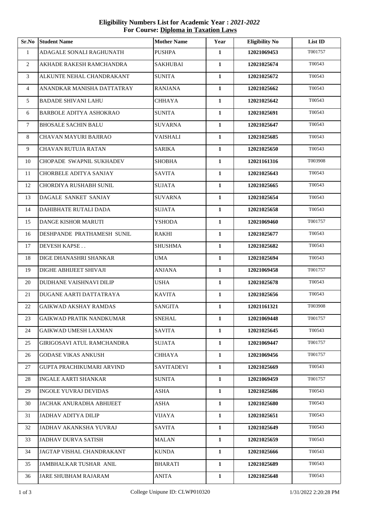**Eligibility Numbers List for Academic Year :** *2021-2022*  **For Course: Diploma in Taxation Laws**

| Sr.No          | <b>Student Name</b>               | <b>Mother Name</b> | Year         | <b>Eligibility No</b> | List ID |
|----------------|-----------------------------------|--------------------|--------------|-----------------------|---------|
| $\mathbf{1}$   | ADAGALE SONALI RAGHUNATH          | <b>PUSHPA</b>      | $\mathbf{1}$ | 12021069453           | T001757 |
| $\overline{2}$ | AKHADE RAKESH RAMCHANDRA          | SAKHUBAI           | $\mathbf{1}$ | 12021025674           | T00543  |
| 3              | ALKUNTE NEHAL CHANDRAKANT         | <b>SUNITA</b>      | $\mathbf{1}$ | 12021025672           | T00543  |
| 4              | ANANDKAR MANISHA DATTATRAY        | <b>RANJANA</b>     | $\mathbf{1}$ | 12021025662           | T00543  |
| 5              | <b>BADADE SHIVANI LAHU</b>        | <b>CHHAYA</b>      | $\mathbf{1}$ | 12021025642           | T00543  |
| 6              | <b>BARBOLE ADITYA ASHOKRAO</b>    | <b>SUNITA</b>      | $\mathbf{1}$ | 12021025691           | T00543  |
| $\tau$         | <b>BHOSALE SACHIN BALU</b>        | <b>SUVARNA</b>     | $\mathbf{1}$ | 12021025647           | T00543  |
| 8              | CHAVAN MAYURI BAJIRAO             | VAISHALI           | $\mathbf{1}$ | 12021025685           | T00543  |
| 9              | <b>CHAVAN RUTUJA RATAN</b>        | <b>SARIKA</b>      | $\mathbf{1}$ | 12021025650           | T00543  |
| 10             | CHOPADE SWAPNIL SUKHADEV          | <b>SHOBHA</b>      | $\mathbf{1}$ | 12021161316           | T003908 |
| 11             | CHORBELE ADITYA SANJAY            | <b>SAVITA</b>      | $\mathbf{1}$ | 12021025643           | T00543  |
| 12             | CHORDIYA RUSHABH SUNIL            | <b>SUJATA</b>      | $\mathbf{1}$ | 12021025665           | T00543  |
| 13             | DAGALE SANKET SANJAY              | <b>SUVARNA</b>     | $\mathbf{1}$ | 12021025654           | T00543  |
| 14             | DAHIBHATE RUTALI DADA             | <b>SUJATA</b>      | 1            | 12021025658           | T00543  |
| 15             | DANGE KISHOR MARUTI               | YSHODA             | $\mathbf{1}$ | 12021069460           | T001757 |
| 16             | DESHPANDE PRATHAMESH SUNIL        | <b>RAKHI</b>       | $\mathbf{1}$ | 12021025677           | T00543  |
| 17             | <b>DEVESH KAPSE</b>               | <b>SHUSHMA</b>     | $\mathbf{1}$ | 12021025682           | T00543  |
| 18             | DIGE DHANASHRI SHANKAR            | <b>UMA</b>         | $\mathbf{1}$ | 12021025694           | T00543  |
| 19             | DIGHE ABHIJEET SHIVAJI            | <b>ANJANA</b>      | $\mathbf{1}$ | 12021069458           | T001757 |
| 20             | DUDHANE VAISHNAVI DILIP           | <b>USHA</b>        | $\mathbf{1}$ | 12021025678           | T00543  |
| 21             | DUGANE AARTI DATTATRAYA           | <b>KAVITA</b>      | $\mathbf{1}$ | 12021025656           | T00543  |
| 22             | <b>GAIKWAD AKSHAY RAMDAS</b>      | <b>SANGITA</b>     | $\mathbf{1}$ | 12021161321           | T003908 |
| 23             | <b>GAIKWAD PRATIK NANDKUMAR</b>   | <b>SNEHAL</b>      | 1            | 12021069448           | T001757 |
| 24             | <b>GAIKWAD UMESH LAXMAN</b>       | SAVITA             | $\mathbf{1}$ | 12021025645           | T00543  |
| 25             | <b>GIRIGOSAVI ATUL RAMCHANDRA</b> | <b>SUJATA</b>      | $\mathbf{1}$ | 12021069447           | T001757 |
| 26             | <b>GODASE VIKAS ANKUSH</b>        | CHHAYA             | $\mathbf{1}$ | 12021069456           | T001757 |
| 27             | GUPTA PRACHIKUMARI ARVIND         | SAVITADEVI         | $\mathbf{1}$ | 12021025669           | T00543  |
| 28             | <b>INGALE AARTI SHANKAR</b>       | <b>SUNITA</b>      | $\mathbf{1}$ | 12021069459           | T001757 |
| 29             | <b>INGOLE YUVRAJ DEVIDAS</b>      | ASHA               | $\mathbf{1}$ | 12021025686           | T00543  |
| 30             | JACHAK ANURADHA ABHIJEET          | ASHA               | $\mathbf{1}$ | 12021025680           | T00543  |
| 31             | JADHAV ADITYA DILIP               | VIJAYA             | 1            | 12021025651           | T00543  |
| 32             | <b>JADHAV AKANKSHA YUVRAJ</b>     | SAVITA             | $\mathbf{1}$ | 12021025649           | T00543  |
| 33             | <b>JADHAV DURVA SATISH</b>        | <b>MALAN</b>       | $\mathbf{1}$ | 12021025659           | T00543  |
| 34             | JAGTAP VISHAL CHANDRAKANT         | <b>KUNDA</b>       | $\mathbf{1}$ | 12021025666           | T00543  |
| 35             | JAMBHALKAR TUSHAR ANIL            | <b>BHARATI</b>     | $\mathbf{1}$ | 12021025689           | T00543  |
| 36             | JARE SHUBHAM RAJARAM              | <b>ANITA</b>       | $\mathbf{1}$ | 12021025648           | T00543  |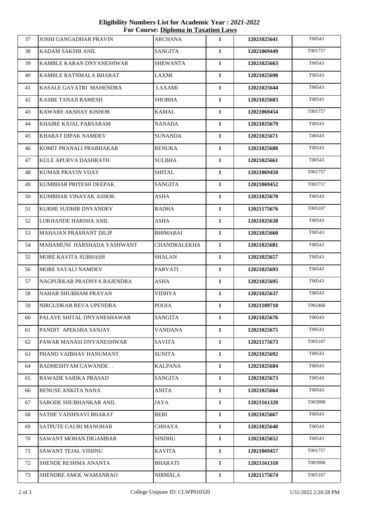**Eligibility Numbers List for Academic Year :** *2021-2022*  **For Course: Diploma in Taxation Laws**

| 37 | <b>JOSHI GANGADHAR PRAVIN</b> | <b>ARCHANA</b>  | $\mathbf{1}$ | 12021025641 | T00543  |
|----|-------------------------------|-----------------|--------------|-------------|---------|
| 38 | KADAM SAKSHI ANIL             | SANGITA         | 1            | 12021069449 | T001757 |
| 39 | KAMBLE KARAN DNYANESHWAR      | <b>SHEWANTA</b> | $\mathbf{1}$ | 12021025663 | T00543  |
| 40 | KAMBLE RATNMALA BHARAT        | LAXMI           | 1            | 12021025690 | T00543  |
| 41 | KASALE GAYATRI MAHENDRA       | LAXAMI          | $\mathbf{1}$ | 12021025644 | T00543  |
| 42 | KASBE TANAJI RAMESH           | <b>SHOBHA</b>   | $\mathbf{1}$ | 12021025683 | T00543  |
| 43 | KAWARE AKSHAY KISHOR          | KAMAL           | $\mathbf{1}$ | 12021069454 | T001757 |
| 44 | KHAIRE KAJAL PARSARAM         | NANADA          | $\mathbf{1}$ | 12021025679 | T00543  |
| 45 | KHARAT DIPAK NAMDEV           | SUNANDA         | 1            | 12021025671 | T00543  |
| 46 | KOMIT PRANALI PRABHAKAR       | <b>RENUKA</b>   | $\mathbf{1}$ | 12021025688 | T00543  |
| 47 | KULE APURVA DASHRATH          | <b>SULBHA</b>   | $\mathbf{1}$ | 12021025661 | T00543  |
| 48 | KUMAR PRAVIN VIJAY            | SHITAL          | $\mathbf{1}$ | 12021069450 | T001757 |
| 49 | KUMBHAR PRITESH DEEPAK        | <b>SANGITA</b>  | $\mathbf{1}$ | 12021069452 | T001757 |
| 50 | KUMBHAR VINAYAK ASHOK         | <b>ASHA</b>     | $\mathbf{1}$ | 12021025670 | T00543  |
| 51 | KURHE SUDHIR DNYANDEV         | <b>RADHA</b>    | $\mathbf{1}$ | 12021175676 | T005187 |
| 52 | LOKHANDE HARSHA ANIL          | ASHA            | 1            | 12021025638 | T00543  |
| 53 | MAHAJAN PRASHANT DILIP        | <b>BHIMABAI</b> | $\mathbf{1}$ | 12021025660 | T00543  |
| 54 | MAHAMUNI HARSHADA YASHWANT    | CHANDRALEKHA    | $\mathbf{1}$ | 12021025681 | T00543  |
| 55 | MORE KAVITA SUBHASH           | <b>SHALAN</b>   | $\mathbf{1}$ | 12021025657 | T00543  |
| 56 | MORE SAYALI NAMDEV            | <b>PARVATI</b>  | $\mathbf{1}$ | 12021025693 | T00543  |
| 57 | NAGPURKAR PRADNYA RAJENDRA    | ASHA            | $\mathbf{1}$ | 12021025695 | T00543  |
| 58 | NAHAR SHUBHAM PRAVAN          | VIDHYA          | $\mathbf{1}$ | 12021025637 | T00543  |
| 59 | NIRGUDKAR REVA UPENDRA        | <b>POOJA</b>    | 1            | 12021109718 | T002466 |
| 60 | PALAVE SHITAL DNYANESHAWAR    | SANGITA         | 1            | 12021025676 | T00543  |
| 61 | PANDIT APEKSHA SANJAY         | <b>VANDANA</b>  | $\mathbf{1}$ | 12021025675 | T00543  |
| 62 | PAWAR MANASI DNYANESHWAR      | <b>SAVITA</b>   | 1            | 12021175673 | T005187 |
| 63 | PHAND VAIBHAV HANUMANT        | <b>SUNITA</b>   | $\mathbf{1}$ | 12021025692 | T00543  |
| 64 | RADHESHYAM GAWANDE            | <b>KALPANA</b>  | $\mathbf{1}$ | 12021025684 | T00543  |
| 65 | RAWADE SARIKA PRASAD          | SANGITA         | $\mathbf{1}$ | 12021025673 | T00543  |
| 66 | RENUSE ANKITA NANA            | <b>ANITA</b>    | 1            | 12021025664 | T00543  |
| 67 | SARODE SHUBHANKAR ANIL        | JAYA            | $\mathbf{1}$ | 12021161320 | T003908 |
| 68 | SATHE VAISHNAVI BHARAT        | BEBI            | 1            | 12021025667 | T00543  |
| 69 | <b>SATPUTE GAURI MANOHAR</b>  | CHHAYA          | 1            | 12021025640 | T00543  |
| 70 | SAWANT MOHAN DIGAMBAR         | <b>SINDHU</b>   | $\mathbf{1}$ | 12021025652 | T00543  |
| 71 | SAWANT TEJAL VISHNU           | <b>KAVITA</b>   | $\mathbf{1}$ | 12021069457 | T001757 |
| 72 | SHENDE RESHMA ANANTA          | <b>BHARATI</b>  | 1            | 12021161318 | T003908 |
| 73 | SHENDRE AMOL WAMANRAO         | NIRMALA         | 1            | 12021175674 | T005187 |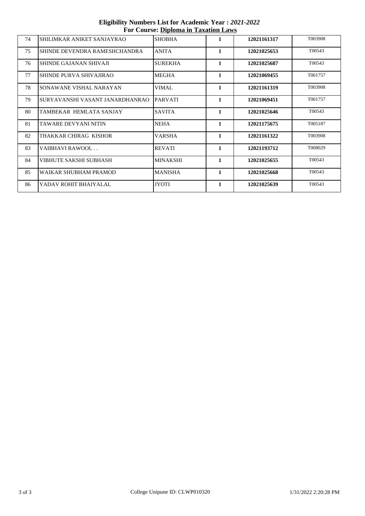**Eligibility Numbers List for Academic Year :** *2021-2022*  **For Course: Diploma in Taxation Laws**

| 2.1 |                                 |                 |              |             |         |
|-----|---------------------------------|-----------------|--------------|-------------|---------|
| 74  | SHILIMKAR ANIKET SANJAYRAO      | <b>SHOBHA</b>   | 1            | 12021161317 | T003908 |
| 75  | SHINDE DEVENDRA RAMESHCHANDRA   | <b>ANITA</b>    | $\mathbf{1}$ | 12021025653 | T00543  |
| 76  | SHINDE GAJANAN SHIVAJI          | <b>SUREKHA</b>  | $\mathbf{1}$ | 12021025687 | T00543  |
| 77  | SHINDE PURVA SHIVAJIRAO         | <b>MEGHA</b>    | $\mathbf{1}$ | 12021069455 | T001757 |
| 78  | SONAWANE VISHAL NARAYAN         | <b>VIMAL</b>    | 1            | 12021161319 | T003908 |
| 79  | SURYAVANSHI VASANT JANARDHANRAO | <b>PARVATI</b>  | 1            | 12021069451 | T001757 |
| 80  | TAMBEKAR HEMLATA SANJAY         | <b>SAVITA</b>   | 1            | 12021025646 | T00543  |
| 81  | TAWARE DEVYANI NITIN            | <b>NEHA</b>     | $\mathbf{1}$ | 12021175675 | T005187 |
| 82  | THAKKAR CHIRAG KISHOR           | <b>VARSHA</b>   | $\mathbf{1}$ | 12021161322 | T003908 |
| 83  | VAIBHAVI RAWOOL                 | <b>REVATI</b>   | 1            | 12021193712 | T008029 |
| 84  | VIBHUTE SAKSHI SUBHASH          | <b>MINAKSHI</b> | 1            | 12021025655 | T00543  |
| 85  | WAIKAR SHUBHAM PRAMOD           | <b>MANISHA</b>  | 1            | 12021025668 | T00543  |
| 86  | YADAV ROHIT BHAIYALAL           | <b>JYOTI</b>    | 1            | 12021025639 | T00543  |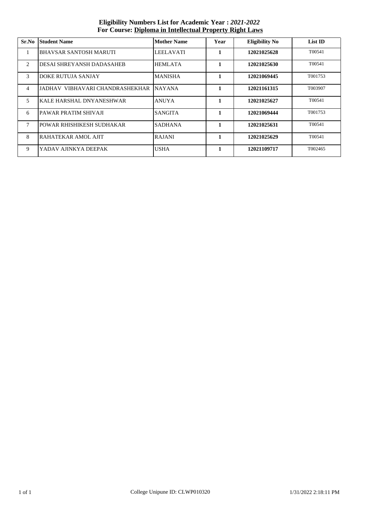**Eligibility Numbers List for Academic Year :** *2021-2022*  **For Course: Diploma in Intellectual Property Right Laws**

| Sr.No          | <b>Student Name</b>             | <b>Mother Name</b> | Year         | <b>Eligibility No</b> | List ID |
|----------------|---------------------------------|--------------------|--------------|-----------------------|---------|
|                | BHAVSAR SANTOSH MARUTI          | <b>LEELAVATI</b>   | 1            | 12021025628           | T00541  |
| 2              | DESAI SHREYANSH DADASAHEB       | <b>HEMLATA</b>     | 1            | 12021025630           | T00541  |
| 3              | <b>DOKE RUTUJA SANJAY</b>       | <b>MANISHA</b>     | $\mathbf{1}$ | 12021069445           | T001753 |
| $\overline{4}$ | JADHAV VIBHAVARI CHANDRASHEKHAR | <b>NAYANA</b>      | 1            | 12021161315           | T003907 |
| $\overline{5}$ | <b>KALE HARSHAL DNYANESHWAR</b> | <b>ANUYA</b>       | $\mathbf{1}$ | 12021025627           | T00541  |
| 6              | IPAWAR PRATIM SHIVAJI           | <b>SANGITA</b>     | $\mathbf{1}$ | 12021069444           | T001753 |
| $\tau$         | POWAR RHISHIKESH SUDHAKAR       | <b>SADHANA</b>     | 1            | 12021025631           | T00541  |
| 8              | RAHATEKAR AMOL AJIT             | <b>RAJANI</b>      | 1            | 12021025629           | T00541  |
| 9              | YADAV AJINKYA DEEPAK            | <b>USHA</b>        | 1            | 12021109717           | T002465 |